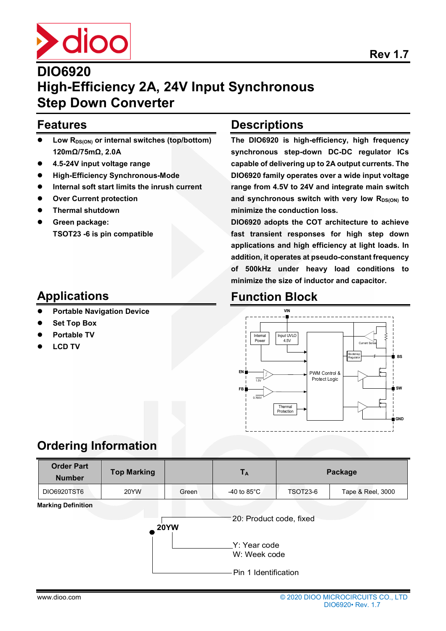

## **DIO6920 High-Efficiency 2A, 24V Input Synchronous Step Down Converter**

### **Features**

- **Low RDS(ON) or internal switches (top/bottom) 120mΩ/75mΩ, 2.0A**
- **4.5-24V input voltage range**
- **High-Efficiency Synchronous-Mode**
- **Internal soft start limits the inrush current**
- **Over Current protection**
- **Thermal shutdown**
- **Green package: TSOT23 -6 is pin compatible**

### **Applications**

- **Portable Navigation Device**
- **Set Top Box**
- **Portable TV**
- **LCD TV**

### **Descriptions**

**The DIO6920 is high-efficiency, high frequency synchronous step-down DC-DC regulator ICs capable of delivering up to 2A output currents. The DIO6920 family operates over a wide input voltage range from 4.5V to 24V and integrate main switch**  and synchronous switch with very low R<sub>DS(ON)</sub> to **minimize the conduction loss.** 

**DIO6920 adopts the COT architecture to achieve fast transient responses for high step down applications and high efficiency at light loads. In addition, it operates at pseudo-constant frequency of 500kHz under heavy load conditions to minimize the size of inductor and capacitor.**

## **Function Block**



### **Ordering Information**

| <b>Order Part</b><br><b>Number</b> | <b>Top Marking</b>              |                              | $T_A$                 | Package         |                   |  |  |
|------------------------------------|---------------------------------|------------------------------|-----------------------|-----------------|-------------------|--|--|
| DIO6920TST6                        | 20YW                            | Green                        | -40 to $85^{\circ}$ C | <b>TSOT23-6</b> | Tape & Reel, 3000 |  |  |
| <b>Marking Definition</b>          | 20: Product code, fixed<br>20YW |                              |                       |                 |                   |  |  |
|                                    |                                 | Y: Year code<br>W: Week code |                       |                 |                   |  |  |
|                                    |                                 |                              | Pin 1 Identification  |                 |                   |  |  |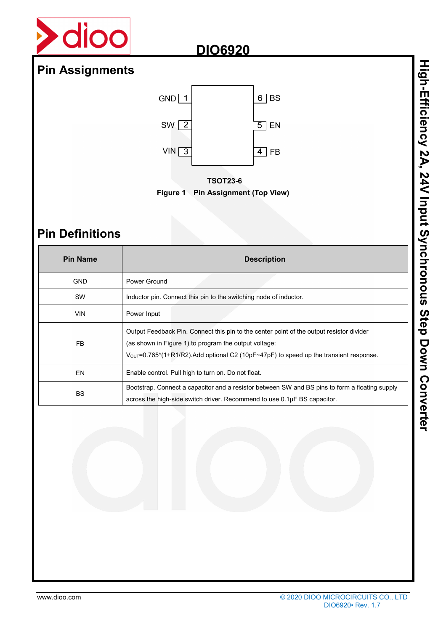

## **Pin Assignments**



**TSOT23-6 Figure 1 Pin Assignment (Top View)** 

## **Pin Definitions**

| <b>Pin Name</b> | <b>Description</b>                                                                                                                                                                                                                                      |
|-----------------|---------------------------------------------------------------------------------------------------------------------------------------------------------------------------------------------------------------------------------------------------------|
| <b>GND</b>      | Power Ground                                                                                                                                                                                                                                            |
| <b>SW</b>       | Inductor pin. Connect this pin to the switching node of inductor.                                                                                                                                                                                       |
| <b>VIN</b>      | Power Input                                                                                                                                                                                                                                             |
| <b>FB</b>       | Output Feedback Pin. Connect this pin to the center point of the output resistor divider<br>(as shown in Figure 1) to program the output voltage:<br>$V_{\text{OUT}}$ =0.765*(1+R1/R2). Add optional C2 (10pF~47pF) to speed up the transient response. |
| EN              | Enable control. Pull high to turn on. Do not float.                                                                                                                                                                                                     |
| <b>BS</b>       | Bootstrap. Connect a capacitor and a resistor between SW and BS pins to form a floating supply<br>across the high-side switch driver. Recommend to use 0.1µF BS capacitor.                                                                              |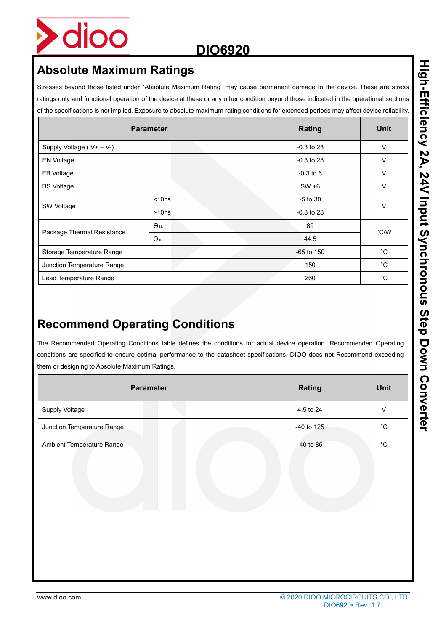

## **Absolute Maximum Ratings**

Stresses beyond those listed under "Absolute Maximum Rating" may cause permanent damage to the device. These are stress ratings only and functional operation of the device at these or any other condition beyond those indicated in the operational sections of the specifications is not implied. Exposure to absolute maximum rating conditions for extended periods may affect device reliability.

|                            | <b>Parameter</b>     | <b>Rating</b> | <b>Unit</b>  |  |  |
|----------------------------|----------------------|---------------|--------------|--|--|
| Supply Voltage (V+ - V-)   | $-0.3$ to 28         | V             |              |  |  |
| <b>EN Voltage</b>          |                      | $-0.3$ to 28  | V            |  |  |
| FB Voltage                 |                      | $-0.3$ to 6   | $\vee$       |  |  |
| <b>BS Voltage</b>          | $SW + 6$             | $\vee$        |              |  |  |
|                            | $<$ 10 $ns$          | $-5$ to 30    | V            |  |  |
| SW Voltage                 | >10ns                | $-0.3$ to 28  |              |  |  |
|                            | $\Theta$ JA          | 89            | °C/W         |  |  |
| Package Thermal Resistance | $\Theta_{\text{JC}}$ | 44.5          |              |  |  |
| Storage Temperature Range  |                      | $-65$ to 150  | $^{\circ}C$  |  |  |
| Junction Temperature Range |                      | 150           | $^{\circ}C$  |  |  |
| Lead Temperature Range     |                      | 260           | $^{\circ}$ C |  |  |

## **Recommend Operating Conditions**

The Recommended Operating Conditions table defines the conditions for actual device operation. Recommended Operating conditions are specified to ensure optimal performance to the datasheet specifications. DIOO does not Recommend exceeding them or designing to Absolute Maximum Ratings.

| <b>Parameter</b>           |  |  | <b>Rating</b> | Unit        |    |
|----------------------------|--|--|---------------|-------------|----|
| Supply Voltage             |  |  |               | 4.5 to 24   | V  |
| Junction Temperature Range |  |  |               | -40 to 125  | °С |
| Ambient Temperature Range  |  |  |               | $-40$ to 85 | °С |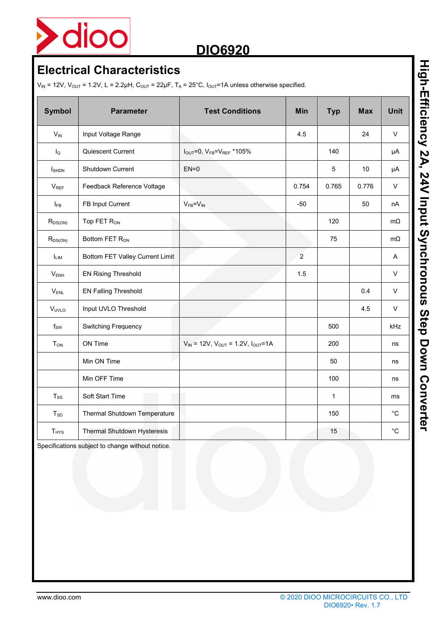

## **Electrical Characteristics**

 $V_{IN}$  = 12V,  $V_{OUT}$  = 1.2V, L = 2.2µH,  $C_{OUT}$  = 22µF,  $T_A$  = 25°C,  $I_{OUT}$ =1A unless otherwise specified.

| <b>Symbol</b>          | <b>Parameter</b>                | <b>Test Conditions</b>                                          | Min            | <b>Typ</b>   | <b>Max</b> | <b>Unit</b> |
|------------------------|---------------------------------|-----------------------------------------------------------------|----------------|--------------|------------|-------------|
| $V_{IN}$               | Input Voltage Range             |                                                                 | 4.5            |              | 24         | V           |
| $I_{\mathsf{Q}}$       | Quiescent Current               | $I_{\text{OUT}} = 0$ , $V_{\text{FB}} = V_{\text{REF}} * 105\%$ |                | 140          |            | μA          |
| <b>SHDN</b>            | Shutdown Current                | $EN=0$                                                          |                | 5            | 10         | μA          |
| $V_{REF}$              | Feedback Reference Voltage      |                                                                 | 0.754          | 0.765        | 0.776      | $\vee$      |
| $I_{FB}$               | FB Input Current                | $V_{FB} = V_{IN}$                                               | $-50$          |              | 50         | nA          |
| $R_{DS(ON)}$           | Top FET R <sub>ON</sub>         |                                                                 |                | 120          |            | $m\Omega$   |
| $R_{DS(ON)}$           | Bottom FET R <sub>ON</sub>      |                                                                 |                | 75           |            | $m\Omega$   |
| <b>ILIM</b>            | Bottom FET Valley Current Limit |                                                                 | $\overline{2}$ |              |            | A           |
| $V_{ENH}$              | <b>EN Rising Threshold</b>      |                                                                 | 1.5            |              |            | V           |
| $V_{ENL}$              | <b>EN Falling Threshold</b>     |                                                                 |                |              | 0.4        | $\vee$      |
| V <sub>UVLO</sub>      | Input UVLO Threshold            |                                                                 |                |              | 4.5        | $\vee$      |
| $f_{SW}$               | <b>Switching Frequency</b>      |                                                                 |                | 500          |            | kHz         |
| <b>T</b> <sub>ON</sub> | ON Time                         | $V_{IN}$ = 12V, $V_{OUT}$ = 1.2V, $I_{OUT}$ =1A                 |                | 200          |            | ns          |
|                        | Min ON Time                     |                                                                 |                | 50           |            | ns          |
|                        | Min OFF Time                    |                                                                 |                | 100          |            | ns          |
| $T_{SS}$               | Soft Start Time                 |                                                                 |                | $\mathbf{1}$ |            | ms          |
| $T_{SD}$               | Thermal Shutdown Temperature    |                                                                 |                | 150          |            | $^{\circ}C$ |
| T <sub>HYS</sub>       | Thermal Shutdown Hysteresis     |                                                                 |                | 15           |            | $^{\circ}C$ |

Specifications subject to change without notice.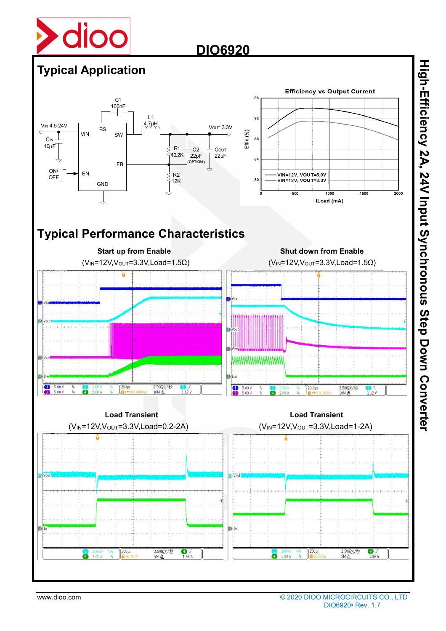



High-Efficiency 2A, 24V Input Synchronous Step Down Converter **High-Efficiency 2A, 24V Input Synchronous Step Down Converter**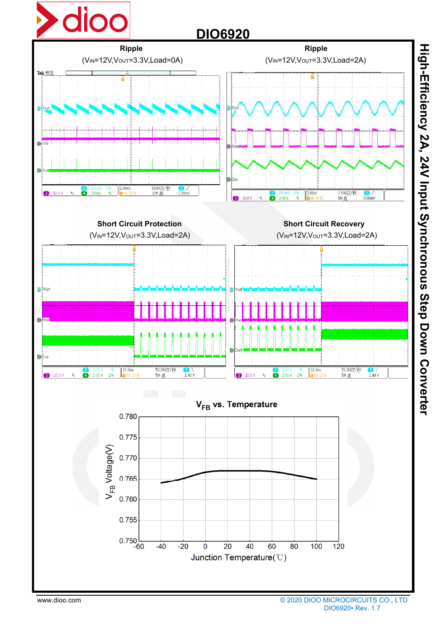

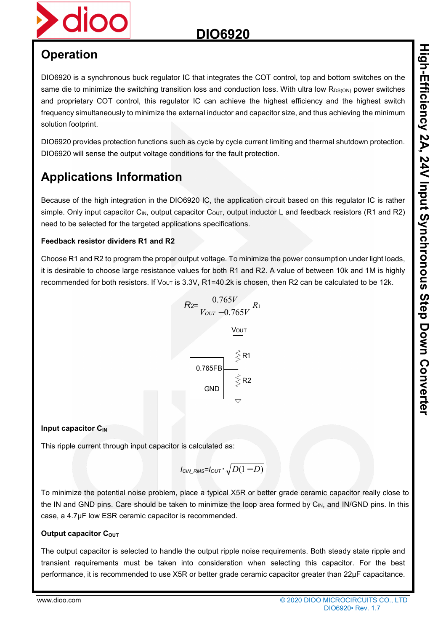## **Operation**

DIO6920 is a synchronous buck regulator IC that integrates the COT control, top and bottom switches on the same die to minimize the switching transition loss and conduction loss. With ultra low R<sub>DS(ON)</sub> power switches and proprietary COT control, this regulator IC can achieve the highest efficiency and the highest switch frequency simultaneously to minimize the external inductor and capacitor size, and thus achieving the minimum solution footprint.

DIO6920 provides protection functions such as cycle by cycle current limiting and thermal shutdown protection. DIO6920 will sense the output voltage conditions for the fault protection.

## **Applications Information**

Because of the high integration in the DIO6920 IC, the application circuit based on this regulator IC is rather simple. Only input capacitor C<sub>IN</sub>, output capacitor C<sub>OUT</sub>, output inductor L and feedback resistors (R1 and R2) need to be selected for the targeted applications specifications.

#### **Feedback resistor dividers R1 and R2**

Choose R1 and R2 to program the proper output voltage. To minimize the power consumption under light loads, it is desirable to choose large resistance values for both R1 and R2. A value of between 10k and 1M is highly recommended for both resistors. If V<sub>OUT</sub> is 3.3V, R1=40.2k is chosen, then R2 can be calculated to be 12k.



### **Input capacitor C<sub>IN</sub>**

This ripple current through input capacitor is calculated as:

$$
I_{\text{CIN\_RMS}}\text{=}I_{\text{OUT}}\cdot\sqrt{D(1-D)}
$$

To minimize the potential noise problem, place a typical X5R or better grade ceramic capacitor really close to the IN and GND pins. Care should be taken to minimize the loop area formed by C<sub>IN</sub>, and IN/GND pins. In this case, a 4.7μF low ESR ceramic capacitor is recommended.

### **Output capacitor COUT**

The output capacitor is selected to handle the output ripple noise requirements. Both steady state ripple and transient requirements must be taken into consideration when selecting this capacitor. For the best performance, it is recommended to use X5R or better grade ceramic capacitor greater than 22µF capacitance.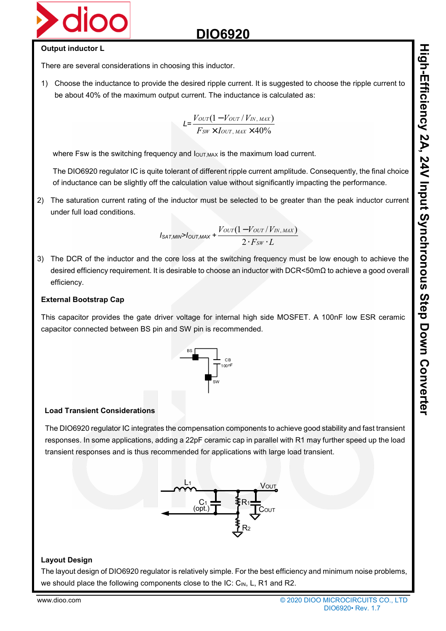

#### **Output inductor L**

There are several considerations in choosing this inductor.

1) Choose the inductance to provide the desired ripple current. It is suggested to choose the ripple current to be about 40% of the maximum output current. The inductance is calculated as:

$$
L = \frac{V_{OUT}(1 - V_{OUT} / V_{IN, MAX})}{F_{SW} \times I_{OUT, MAX} \times 40\%}
$$

where Fsw is the switching frequency and  $I_{\text{OUT,MAX}}$  is the maximum load current.

The DIO6920 regulator IC is quite tolerant of different ripple current amplitude. Consequently, the final choice of inductance can be slightly off the calculation value without significantly impacting the performance.

2) The saturation current rating of the inductor must be selected to be greater than the peak inductor current under full load conditions.

$$
I_{\text{SAT,MIN}} > I_{\text{OUT,MAX}} + \frac{V_{\text{OUT}}(1 - V_{\text{OUT}} / V_{\text{IN,MAX}})}{2 \cdot F_{\text{SW}} \cdot L}
$$

3) The DCR of the inductor and the core loss at the switching frequency must be low enough to achieve the desired efficiency requirement. It is desirable to choose an inductor with DCR<50mΩ to achieve a good overall efficiency.

#### **External Bootstrap Cap**

This capacitor provides the gate driver voltage for internal high side MOSFET. A 100nF low ESR ceramic capacitor connected between BS pin and SW pin is recommended.



#### **Load Transient Considerations**

The DIO6920 regulator IC integrates the compensation components to achieve good stability and fast transient responses. In some applications, adding a 22pF ceramic cap in parallel with R1 may further speed up the load transient responses and is thus recommended for applications with large load transient.



#### **Layout Design**

The layout design of DIO6920 regulator is relatively simple. For the best efficiency and minimum noise problems, we should place the following components close to the IC:  $C_{\text{IN}}$ , L, R1 and R2.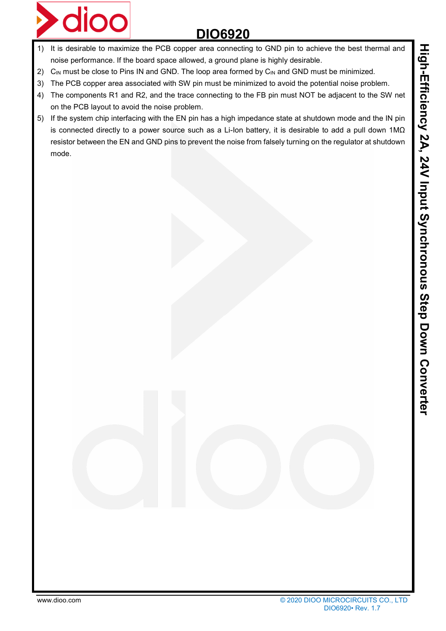



- 1) It is desirable to maximize the PCB copper area connecting to GND pin to achieve the best thermal and noise performance. If the board space allowed, a ground plane is highly desirable.
- 2)  $C_{\text{IN}}$  must be close to Pins IN and GND. The loop area formed by  $C_{\text{IN}}$  and GND must be minimized.
- 3) The PCB copper area associated with SW pin must be minimized to avoid the potential noise problem.
- 4) The components R1 and R2, and the trace connecting to the FB pin must NOT be adjacent to the SW net on the PCB layout to avoid the noise problem.
- 5) If the system chip interfacing with the EN pin has a high impedance state at shutdown mode and the IN pin is connected directly to a power source such as a Li-Ion battery, it is desirable to add a pull down 1MΩ resistor between the EN and GND pins to prevent the noise from falsely turning on the regulator at shutdown mode.